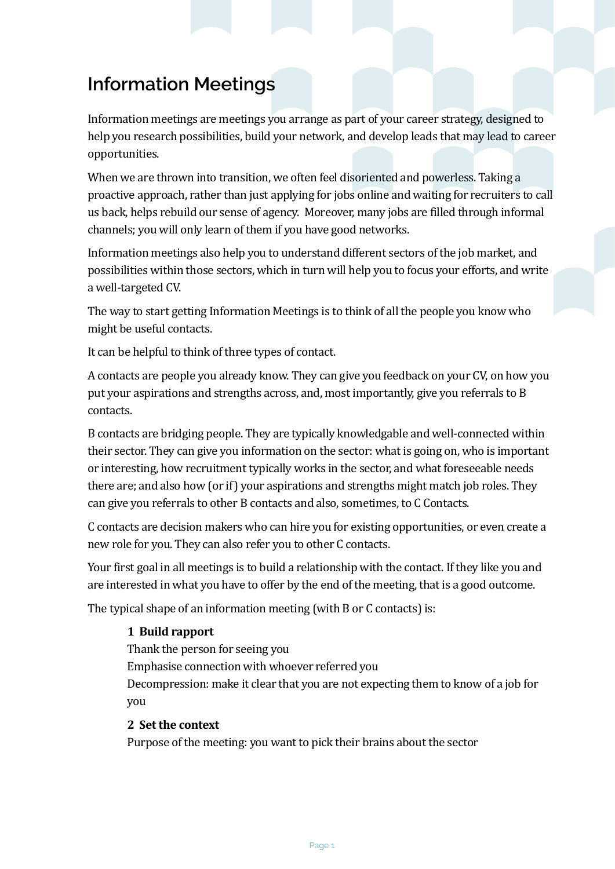# **Information Meetings**

Information meetings are meetings you arrange as part of your career strategy, designed to help you research possibilities, build your network, and develop leads that may lead to career opportunities. 

When we are thrown into transition, we often feel disoriented and powerless. Taking a proactive approach, rather than just applying for jobs online and waiting for recruiters to call us back, helps rebuild our sense of agency. Moreover, many jobs are filled through informal channels; you will only learn of them if you have good networks.

Information meetings also help you to understand different sectors of the job market, and possibilities within those sectors, which in turn will help you to focus your efforts, and write a well-targeted CV.

The way to start getting Information Meetings is to think of all the people you know who might be useful contacts.

It can be helpful to think of three types of contact.

A contacts are people you already know. They can give you feedback on your CV, on how you put your aspirations and strengths across, and, most importantly, give you referrals to B contacts. 

B contacts are bridging people. They are typically knowledgable and well-connected within their sector. They can give you information on the sector: what is going on, who is important or interesting, how recruitment typically works in the sector, and what foreseeable needs there are; and also how (or if) your aspirations and strengths might match job roles. They can give you referrals to other B contacts and also, sometimes, to C Contacts.

C contacts are decision makers who can hire you for existing opportunities, or even create a new role for you. They can also refer you to other C contacts.

Your first goal in all meetings is to build a relationship with the contact. If they like you and are interested in what you have to offer by the end of the meeting, that is a good outcome.

The typical shape of an information meeting (with  $B$  or  $C$  contacts) is:

# **1 Build rapport**

Thank the person for seeing you

Emphasise connection with whoever referred you

Decompression: make it clear that you are not expecting them to know of a job for you 

### 2 Set the context

Purpose of the meeting: you want to pick their brains about the sector